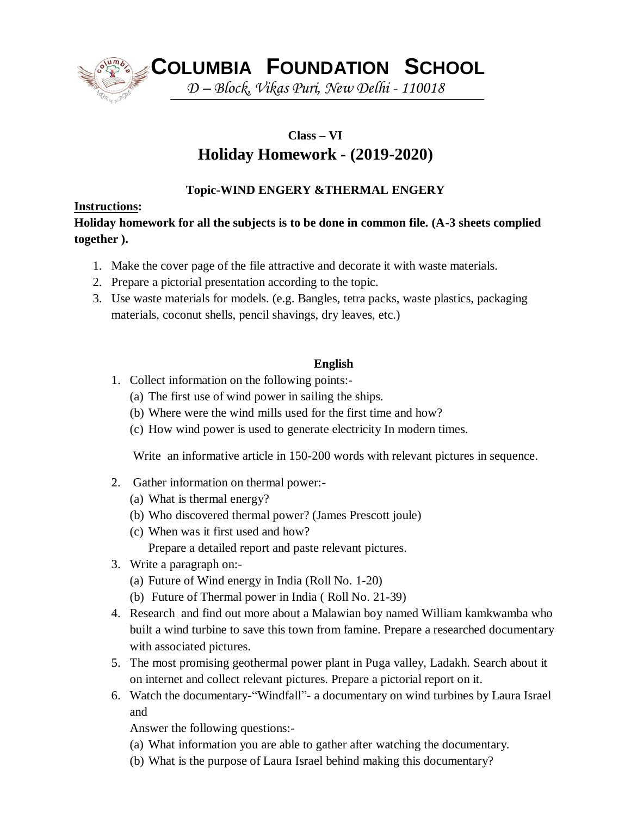

**COLUMBIA FOUNDATION SCHOOL**

*D – Block, Vikas Puri, New Delhi - 110018*

#### **Class – VI**

# **Holiday Homework - (2019-2020)**

## **Topic-WIND ENGERY &THERMAL ENGERY**

## **Instructions:**

## **Holiday homework for all the subjects is to be done in common file. (A-3 sheets complied together ).**

- 1. Make the cover page of the file attractive and decorate it with waste materials.
- 2. Prepare a pictorial presentation according to the topic.
- 3. Use waste materials for models. (e.g. Bangles, tetra packs, waste plastics, packaging materials, coconut shells, pencil shavings, dry leaves, etc.)

## **English**

- 1. Collect information on the following points:-
	- (a) The first use of wind power in sailing the ships.
	- (b) Where were the wind mills used for the first time and how?
	- (c) How wind power is used to generate electricity In modern times.

Write an informative article in 150-200 words with relevant pictures in sequence.

- 2. Gather information on thermal power:-
	- (a) What is thermal energy?
	- (b) Who discovered thermal power? (James Prescott joule)
	- (c) When was it first used and how?
		- Prepare a detailed report and paste relevant pictures.
- 3. Write a paragraph on:-
	- (a) Future of Wind energy in India (Roll No. 1-20)
	- (b) Future of Thermal power in India ( Roll No. 21-39)
- 4. Research and find out more about a Malawian boy named William kamkwamba who built a wind turbine to save this town from famine. Prepare a researched documentary with associated pictures.
- 5. The most promising geothermal power plant in Puga valley, Ladakh. Search about it on internet and collect relevant pictures. Prepare a pictorial report on it.
- 6. Watch the documentary-"Windfall"- a documentary on wind turbines by Laura Israel and

Answer the following questions:-

- (a) What information you are able to gather after watching the documentary.
- (b) What is the purpose of Laura Israel behind making this documentary?